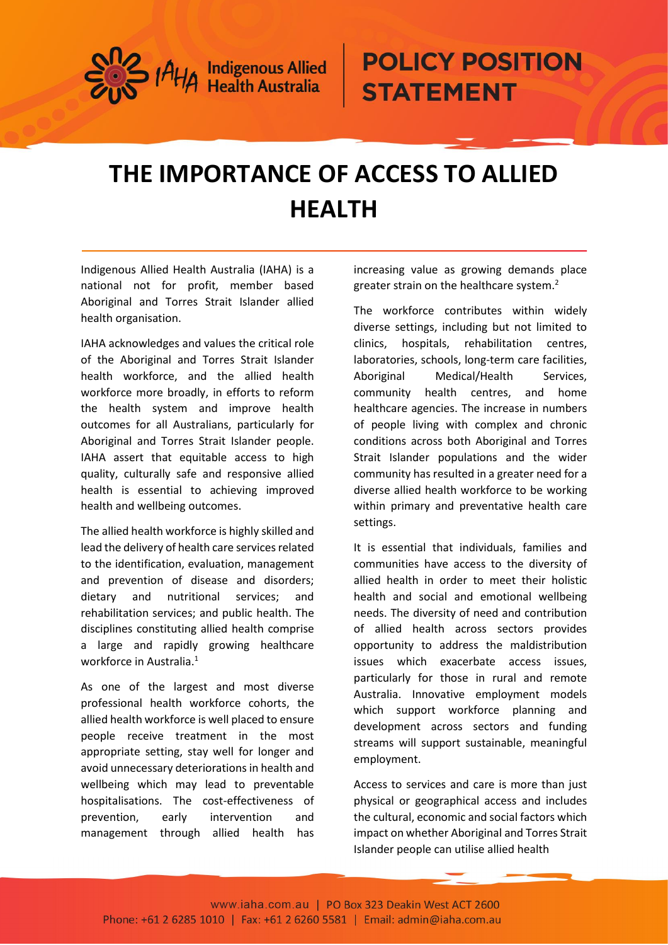

## **POLICY POSITION STATEMENT**

## **THE IMPORTANCE OF ACCESS TO ALLIED HEALTH**

Indigenous Allied Health Australia (IAHA) is a national not for profit, member based Aboriginal and Torres Strait Islander allied health organisation.

IAHA acknowledges and values the critical role of the Aboriginal and Torres Strait Islander health workforce, and the allied health workforce more broadly, in efforts to reform the health system and improve health outcomes for all Australians, particularly for Aboriginal and Torres Strait Islander people. IAHA assert that equitable access to high quality, culturally safe and responsive allied health is essential to achieving improved health and wellbeing outcomes.

The allied health workforce is highly skilled and lead the delivery of health care services related to the identification, evaluation, management and prevention of disease and disorders; dietary and nutritional services; and rehabilitation services; and public health. The disciplines constituting allied health comprise a large and rapidly growing healthcare workforce in Australia.<sup>1</sup>

As one of the largest and most diverse professional health workforce cohorts, the allied health workforce is well placed to ensure people receive treatment in the most appropriate setting, stay well for longer and avoid unnecessary deteriorations in health and wellbeing which may lead to preventable hospitalisations. The cost-effectiveness of prevention, early intervention and management through allied health has

increasing value as growing demands place greater strain on the healthcare system.<sup>2</sup>

The workforce contributes within widely diverse settings, including but not limited to clinics, hospitals, rehabilitation centres, laboratories, schools, long-term care facilities, Aboriginal Medical/Health Services, community health centres, and home healthcare agencies. The increase in numbers of people living with complex and chronic conditions across both Aboriginal and Torres Strait Islander populations and the wider community has resulted in a greater need for a diverse allied health workforce to be working within primary and preventative health care settings.

It is essential that individuals, families and communities have access to the diversity of allied health in order to meet their holistic health and social and emotional wellbeing needs. The diversity of need and contribution of allied health across sectors provides opportunity to address the maldistribution issues which exacerbate access issues, particularly for those in rural and remote Australia. Innovative employment models which support workforce planning and development across sectors and funding streams will support sustainable, meaningful employment.

Access to services and care is more than just physical or geographical access and includes the cultural, economic and social factors which impact on whether Aboriginal and Torres Strait Islander people can utilise allied health